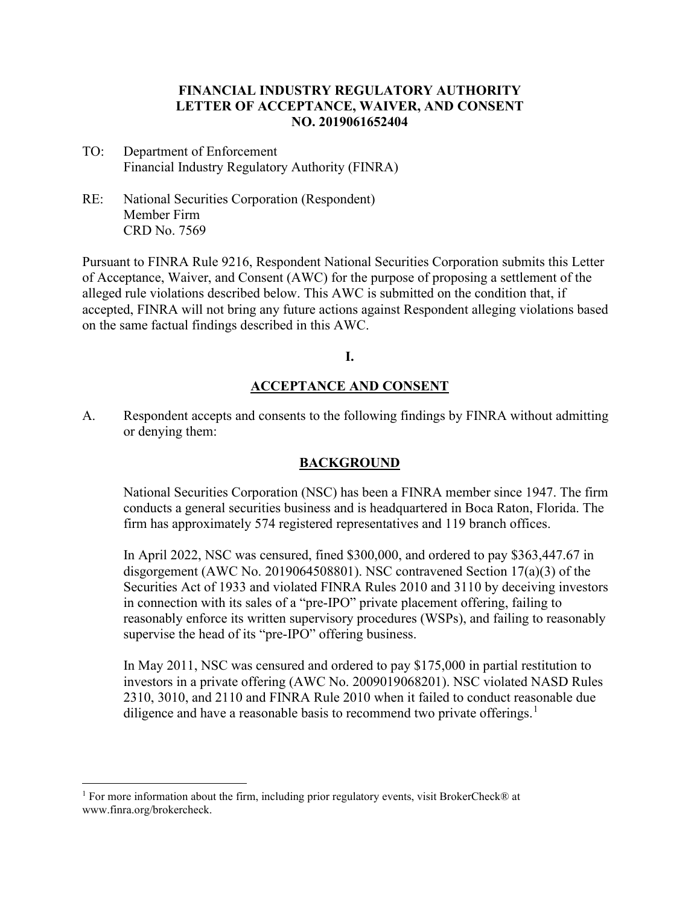## **FINANCIAL INDUSTRY REGULATORY AUTHORITY LETTER OF ACCEPTANCE, WAIVER, AND CONSENT NO. 2019061652404**

- TO: Department of Enforcement Financial Industry Regulatory Authority (FINRA)
- RE: National Securities Corporation (Respondent) Member Firm CRD No. 7569

Pursuant to FINRA Rule 9216, Respondent National Securities Corporation submits this Letter of Acceptance, Waiver, and Consent (AWC) for the purpose of proposing a settlement of the alleged rule violations described below. This AWC is submitted on the condition that, if accepted, FINRA will not bring any future actions against Respondent alleging violations based on the same factual findings described in this AWC.

**I.**

## **ACCEPTANCE AND CONSENT**

A. Respondent accepts and consents to the following findings by FINRA without admitting or denying them:

## **BACKGROUND**

National Securities Corporation (NSC) has been a FINRA member since 1947. The firm conducts a general securities business and is headquartered in Boca Raton, Florida. The firm has approximately 574 registered representatives and 119 branch offices.

In April 2022, NSC was censured, fined \$300,000, and ordered to pay \$363,447.67 in disgorgement (AWC No. 2019064508801). NSC contravened Section 17(a)(3) of the Securities Act of 1933 and violated FINRA Rules 2010 and 3110 by deceiving investors in connection with its sales of a "pre-IPO" private placement offering, failing to reasonably enforce its written supervisory procedures (WSPs), and failing to reasonably supervise the head of its "pre-IPO" offering business.

In May 2011, NSC was censured and ordered to pay \$175,000 in partial restitution to investors in a private offering (AWC No. 2009019068201). NSC violated NASD Rules 2310, 3010, and 2110 and FINRA Rule 2010 when it failed to conduct reasonable due diligence and have a reasonable basis to recommend two private offerings.<sup>[1](#page-0-0)</sup>

<span id="page-0-0"></span><sup>&</sup>lt;sup>1</sup> For more information about the firm, including prior regulatory events, visit BrokerCheck® at www.finra.org/brokercheck.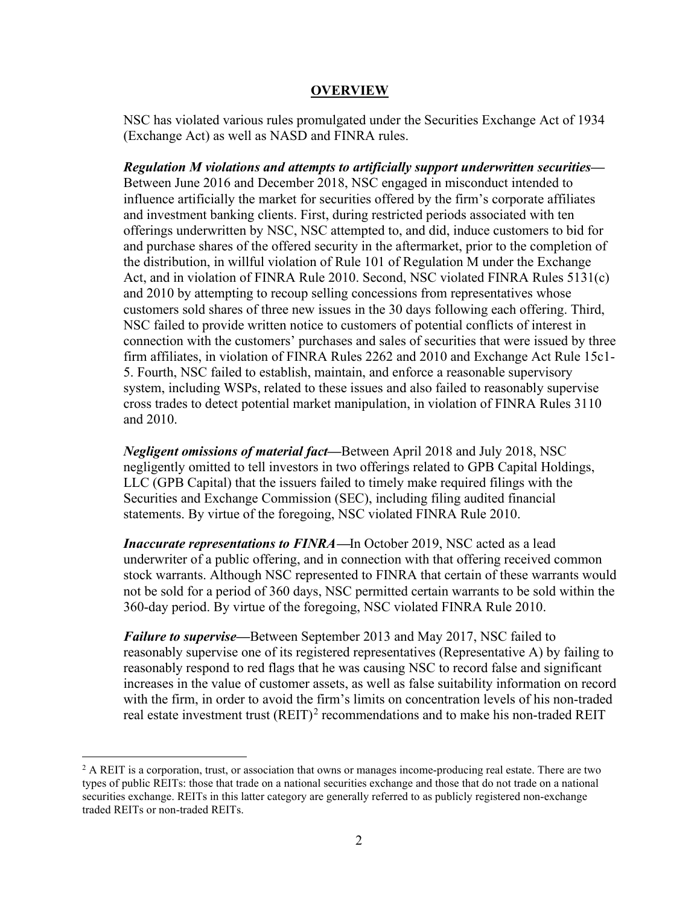#### **OVERVIEW**

NSC has violated various rules promulgated under the Securities Exchange Act of 1934 (Exchange Act) as well as NASD and FINRA rules.

*Regulation M violations and attempts to artificially support underwritten securities—* Between June 2016 and December 2018, NSC engaged in misconduct intended to influence artificially the market for securities offered by the firm's corporate affiliates and investment banking clients. First, during restricted periods associated with ten offerings underwritten by NSC, NSC attempted to, and did, induce customers to bid for and purchase shares of the offered security in the aftermarket, prior to the completion of the distribution, in willful violation of Rule 101 of Regulation M under the Exchange Act, and in violation of FINRA Rule 2010. Second, NSC violated FINRA Rules 5131(c) and 2010 by attempting to recoup selling concessions from representatives whose customers sold shares of three new issues in the 30 days following each offering. Third, NSC failed to provide written notice to customers of potential conflicts of interest in connection with the customers' purchases and sales of securities that were issued by three firm affiliates, in violation of FINRA Rules 2262 and 2010 and Exchange Act Rule 15c1- 5. Fourth, NSC failed to establish, maintain, and enforce a reasonable supervisory system, including WSPs, related to these issues and also failed to reasonably supervise cross trades to detect potential market manipulation, in violation of FINRA Rules 3110 and 2010.

*Negligent omissions of material fact—*Between April 2018 and July 2018, NSC negligently omitted to tell investors in two offerings related to GPB Capital Holdings, LLC (GPB Capital) that the issuers failed to timely make required filings with the Securities and Exchange Commission (SEC), including filing audited financial statements. By virtue of the foregoing, NSC violated FINRA Rule 2010.

*Inaccurate representations to FINRA***—**In October 2019, NSC acted as a lead underwriter of a public offering, and in connection with that offering received common stock warrants. Although NSC represented to FINRA that certain of these warrants would not be sold for a period of 360 days, NSC permitted certain warrants to be sold within the 360-day period. By virtue of the foregoing, NSC violated FINRA Rule 2010.

*Failure to supervise—*Between September 2013 and May 2017, NSC failed to reasonably supervise one of its registered representatives (Representative A) by failing to reasonably respond to red flags that he was causing NSC to record false and significant increases in the value of customer assets, as well as false suitability information on record with the firm, in order to avoid the firm's limits on concentration levels of his non-traded real estate investment trust  $(REIT)^2$  $(REIT)^2$  recommendations and to make his non-traded REIT

<span id="page-1-0"></span> $^2$  A REIT is a corporation, trust, or association that owns or manages income-producing real estate. There are two types of public REITs: those that trade on a national securities exchange and those that do not trade on a national securities exchange. REITs in this latter category are generally referred to as publicly registered non-exchange traded REITs or non-traded REITs.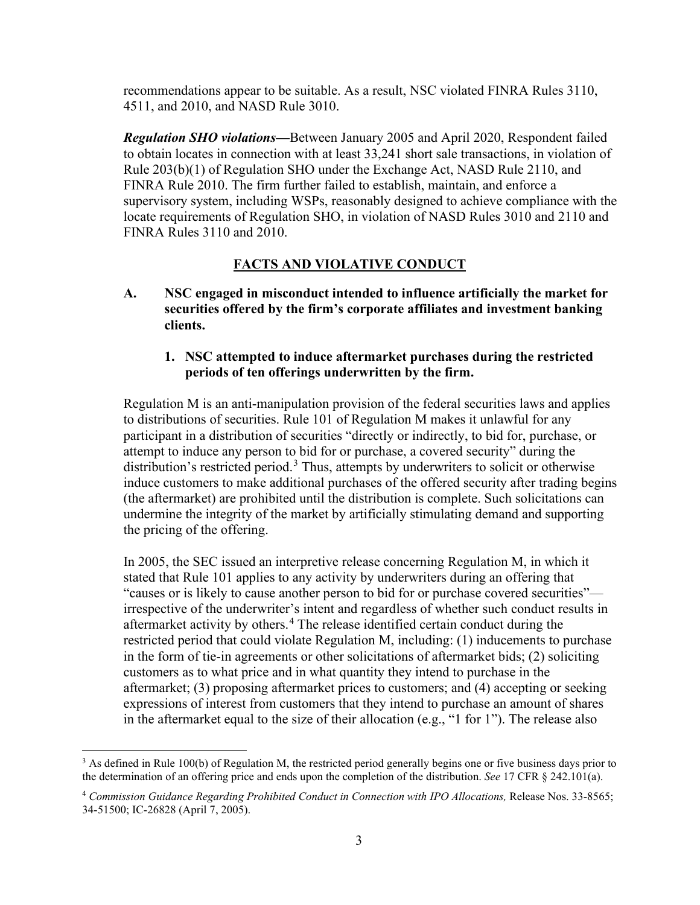recommendations appear to be suitable. As a result, NSC violated FINRA Rules 3110, 4511, and 2010, and NASD Rule 3010.

*Regulation SHO violations—*Between January 2005 and April 2020, Respondent failed to obtain locates in connection with at least 33,241 short sale transactions, in violation of Rule 203(b)(1) of Regulation SHO under the Exchange Act, NASD Rule 2110, and FINRA Rule 2010. The firm further failed to establish, maintain, and enforce a supervisory system, including WSPs, reasonably designed to achieve compliance with the locate requirements of Regulation SHO, in violation of NASD Rules 3010 and 2110 and FINRA Rules 3110 and 2010.

### **FACTS AND VIOLATIVE CONDUCT**

**A. NSC engaged in misconduct intended to influence artificially the market for securities offered by the firm's corporate affiliates and investment banking clients.**

## **1. NSC attempted to induce aftermarket purchases during the restricted periods of ten offerings underwritten by the firm.**

Regulation M is an anti-manipulation provision of the federal securities laws and applies to distributions of securities. Rule 101 of Regulation M makes it unlawful for any participant in a distribution of securities "directly or indirectly, to bid for, purchase, or attempt to induce any person to bid for or purchase, a covered security" during the distribution's restricted period.<sup>[3](#page-2-0)</sup> Thus, attempts by underwriters to solicit or otherwise induce customers to make additional purchases of the offered security after trading begins (the aftermarket) are prohibited until the distribution is complete. Such solicitations can undermine the integrity of the market by artificially stimulating demand and supporting the pricing of the offering.

In 2005, the SEC issued an interpretive release concerning Regulation M, in which it stated that Rule 101 applies to any activity by underwriters during an offering that "causes or is likely to cause another person to bid for or purchase covered securities" irrespective of the underwriter's intent and regardless of whether such conduct results in aftermarket activity by others.<sup>[4](#page-2-1)</sup> The release identified certain conduct during the restricted period that could violate Regulation M, including: (1) inducements to purchase in the form of tie-in agreements or other solicitations of aftermarket bids; (2) soliciting customers as to what price and in what quantity they intend to purchase in the aftermarket; (3) proposing aftermarket prices to customers; and (4) accepting or seeking expressions of interest from customers that they intend to purchase an amount of shares in the aftermarket equal to the size of their allocation (e.g., "1 for 1"). The release also

<span id="page-2-0"></span> $3$  As defined in Rule 100(b) of Regulation M, the restricted period generally begins one or five business days prior to the determination of an offering price and ends upon the completion of the distribution. *See* 17 CFR § 242.101(a).

<span id="page-2-1"></span><sup>4</sup> *Commission Guidance Regarding Prohibited Conduct in Connection with IPO Allocations,* Release Nos. 33-8565; 34-51500; IC-26828 (April 7, 2005).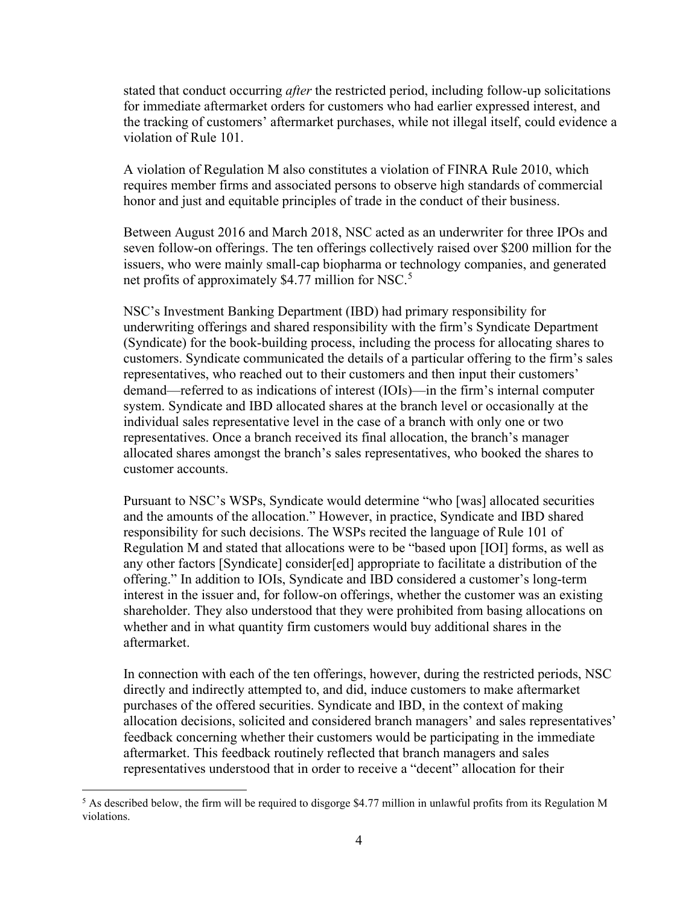stated that conduct occurring *after* the restricted period, including follow-up solicitations for immediate aftermarket orders for customers who had earlier expressed interest, and the tracking of customers' aftermarket purchases, while not illegal itself, could evidence a violation of Rule 101.

A violation of Regulation M also constitutes a violation of FINRA Rule 2010, which requires member firms and associated persons to observe high standards of commercial honor and just and equitable principles of trade in the conduct of their business.

Between August 2016 and March 2018, NSC acted as an underwriter for three IPOs and seven follow-on offerings. The ten offerings collectively raised over \$200 million for the issuers, who were mainly small-cap biopharma or technology companies, and generated net profits of approximately \$4.77 million for NSC.<sup>[5](#page-3-0)</sup>

NSC's Investment Banking Department (IBD) had primary responsibility for underwriting offerings and shared responsibility with the firm's Syndicate Department (Syndicate) for the book-building process, including the process for allocating shares to customers. Syndicate communicated the details of a particular offering to the firm's sales representatives, who reached out to their customers and then input their customers' demand—referred to as indications of interest (IOIs)—in the firm's internal computer system. Syndicate and IBD allocated shares at the branch level or occasionally at the individual sales representative level in the case of a branch with only one or two representatives. Once a branch received its final allocation, the branch's manager allocated shares amongst the branch's sales representatives, who booked the shares to customer accounts.

Pursuant to NSC's WSPs, Syndicate would determine "who [was] allocated securities and the amounts of the allocation." However, in practice, Syndicate and IBD shared responsibility for such decisions. The WSPs recited the language of Rule 101 of Regulation M and stated that allocations were to be "based upon [IOI] forms, as well as any other factors [Syndicate] consider[ed] appropriate to facilitate a distribution of the offering." In addition to IOIs, Syndicate and IBD considered a customer's long-term interest in the issuer and, for follow-on offerings, whether the customer was an existing shareholder. They also understood that they were prohibited from basing allocations on whether and in what quantity firm customers would buy additional shares in the aftermarket.

In connection with each of the ten offerings, however, during the restricted periods, NSC directly and indirectly attempted to, and did, induce customers to make aftermarket purchases of the offered securities. Syndicate and IBD, in the context of making allocation decisions, solicited and considered branch managers' and sales representatives' feedback concerning whether their customers would be participating in the immediate aftermarket. This feedback routinely reflected that branch managers and sales representatives understood that in order to receive a "decent" allocation for their

<span id="page-3-0"></span><sup>&</sup>lt;sup>5</sup> As described below, the firm will be required to disgorge \$4.77 million in unlawful profits from its Regulation M violations.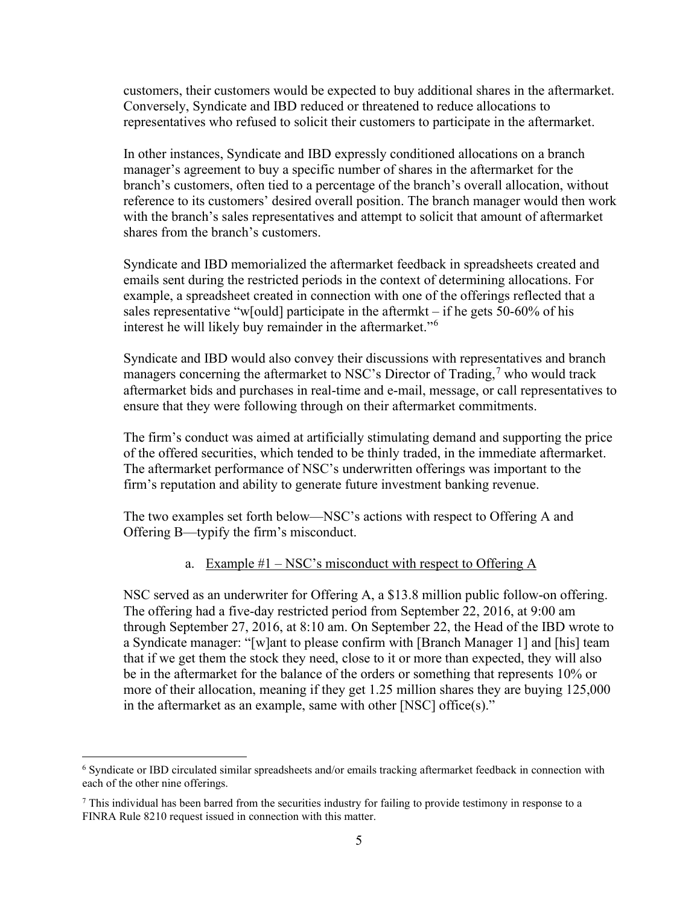customers, their customers would be expected to buy additional shares in the aftermarket. Conversely, Syndicate and IBD reduced or threatened to reduce allocations to representatives who refused to solicit their customers to participate in the aftermarket.

In other instances, Syndicate and IBD expressly conditioned allocations on a branch manager's agreement to buy a specific number of shares in the aftermarket for the branch's customers, often tied to a percentage of the branch's overall allocation, without reference to its customers' desired overall position. The branch manager would then work with the branch's sales representatives and attempt to solicit that amount of aftermarket shares from the branch's customers.

Syndicate and IBD memorialized the aftermarket feedback in spreadsheets created and emails sent during the restricted periods in the context of determining allocations. For example, a spreadsheet created in connection with one of the offerings reflected that a sales representative "w[ould] participate in the aftermkt – if he gets 50-60% of his interest he will likely buy remainder in the aftermarket."[6](#page-4-0)

Syndicate and IBD would also convey their discussions with representatives and branch managers concerning the aftermarket to NSC's Director of Trading,<sup>[7](#page-4-1)</sup> who would track aftermarket bids and purchases in real-time and e-mail, message, or call representatives to ensure that they were following through on their aftermarket commitments.

The firm's conduct was aimed at artificially stimulating demand and supporting the price of the offered securities, which tended to be thinly traded, in the immediate aftermarket. The aftermarket performance of NSC's underwritten offerings was important to the firm's reputation and ability to generate future investment banking revenue.

The two examples set forth below—NSC's actions with respect to Offering A and Offering B—typify the firm's misconduct.

## a. Example  $#1 - NSC$ 's misconduct with respect to Offering A

NSC served as an underwriter for Offering A, a \$13.8 million public follow-on offering. The offering had a five-day restricted period from September 22, 2016, at 9:00 am through September 27, 2016, at 8:10 am. On September 22, the Head of the IBD wrote to a Syndicate manager: "[w]ant to please confirm with [Branch Manager 1] and [his] team that if we get them the stock they need, close to it or more than expected, they will also be in the aftermarket for the balance of the orders or something that represents 10% or more of their allocation, meaning if they get 1.25 million shares they are buying 125,000 in the aftermarket as an example, same with other [NSC] office(s)."

<span id="page-4-0"></span><sup>6</sup> Syndicate or IBD circulated similar spreadsheets and/or emails tracking aftermarket feedback in connection with each of the other nine offerings.

<span id="page-4-1"></span><sup>7</sup> This individual has been barred from the securities industry for failing to provide testimony in response to a FINRA Rule 8210 request issued in connection with this matter.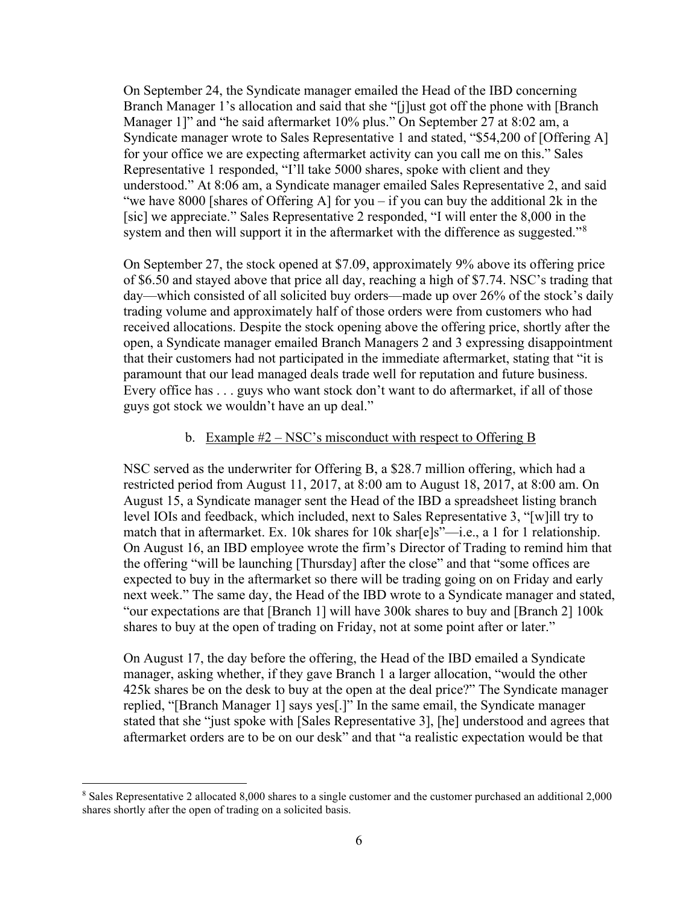On September 24, the Syndicate manager emailed the Head of the IBD concerning Branch Manager 1's allocation and said that she "[j]ust got off the phone with [Branch] Manager 1]" and "he said aftermarket 10% plus." On September 27 at 8:02 am, a Syndicate manager wrote to Sales Representative 1 and stated, "\$54,200 of [Offering A] for your office we are expecting aftermarket activity can you call me on this." Sales Representative 1 responded, "I'll take 5000 shares, spoke with client and they understood." At 8:06 am, a Syndicate manager emailed Sales Representative 2, and said "we have 8000 [shares of Offering A] for you – if you can buy the additional 2k in the [sic] we appreciate." Sales Representative 2 responded, "I will enter the 8,000 in the system and then will support it in the aftermarket with the difference as suggested."<sup>[8](#page-5-0)</sup>

On September 27, the stock opened at \$7.09, approximately 9% above its offering price of \$6.50 and stayed above that price all day, reaching a high of \$7.74. NSC's trading that day—which consisted of all solicited buy orders—made up over 26% of the stock's daily trading volume and approximately half of those orders were from customers who had received allocations. Despite the stock opening above the offering price, shortly after the open, a Syndicate manager emailed Branch Managers 2 and 3 expressing disappointment that their customers had not participated in the immediate aftermarket, stating that "it is paramount that our lead managed deals trade well for reputation and future business. Every office has . . . guys who want stock don't want to do aftermarket, if all of those guys got stock we wouldn't have an up deal."

#### b. Example #2 – NSC's misconduct with respect to Offering B

NSC served as the underwriter for Offering B, a \$28.7 million offering, which had a restricted period from August 11, 2017, at 8:00 am to August 18, 2017, at 8:00 am. On August 15, a Syndicate manager sent the Head of the IBD a spreadsheet listing branch level IOIs and feedback, which included, next to Sales Representative 3, "[w]ill try to match that in aftermarket. Ex. 10k shares for 10k shar[e]s"—i.e., a 1 for 1 relationship. On August 16, an IBD employee wrote the firm's Director of Trading to remind him that the offering "will be launching [Thursday] after the close" and that "some offices are expected to buy in the aftermarket so there will be trading going on on Friday and early next week." The same day, the Head of the IBD wrote to a Syndicate manager and stated, "our expectations are that [Branch 1] will have 300k shares to buy and [Branch 2] 100k shares to buy at the open of trading on Friday, not at some point after or later."

On August 17, the day before the offering, the Head of the IBD emailed a Syndicate manager, asking whether, if they gave Branch 1 a larger allocation, "would the other 425k shares be on the desk to buy at the open at the deal price?" The Syndicate manager replied, "[Branch Manager 1] says yes[.]" In the same email, the Syndicate manager stated that she "just spoke with [Sales Representative 3], [he] understood and agrees that aftermarket orders are to be on our desk" and that "a realistic expectation would be that

<span id="page-5-0"></span><sup>8</sup> Sales Representative 2 allocated 8,000 shares to a single customer and the customer purchased an additional 2,000 shares shortly after the open of trading on a solicited basis.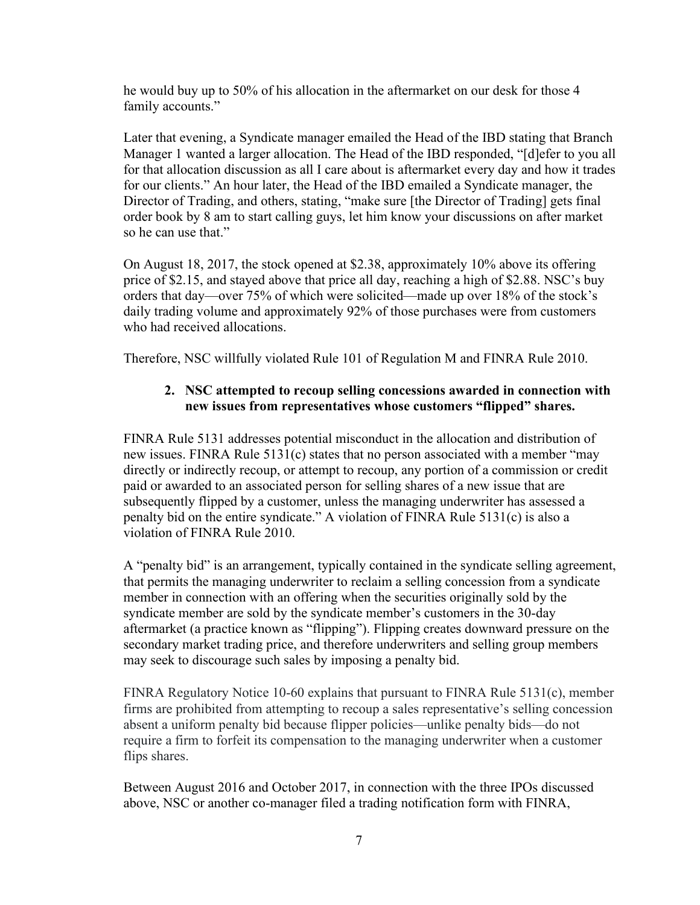he would buy up to 50% of his allocation in the aftermarket on our desk for those 4 family accounts."

Later that evening, a Syndicate manager emailed the Head of the IBD stating that Branch Manager 1 wanted a larger allocation. The Head of the IBD responded, "[d]efer to you all for that allocation discussion as all I care about is aftermarket every day and how it trades for our clients." An hour later, the Head of the IBD emailed a Syndicate manager, the Director of Trading, and others, stating, "make sure [the Director of Trading] gets final order book by 8 am to start calling guys, let him know your discussions on after market so he can use that."

On August 18, 2017, the stock opened at \$2.38, approximately 10% above its offering price of \$2.15, and stayed above that price all day, reaching a high of \$2.88. NSC's buy orders that day—over 75% of which were solicited—made up over 18% of the stock's daily trading volume and approximately 92% of those purchases were from customers who had received allocations.

Therefore, NSC willfully violated Rule 101 of Regulation M and FINRA Rule 2010.

# **2. NSC attempted to recoup selling concessions awarded in connection with new issues from representatives whose customers "flipped" shares.**

FINRA Rule 5131 addresses potential misconduct in the allocation and distribution of new issues. FINRA Rule 5131(c) states that no person associated with a member "may directly or indirectly recoup, or attempt to recoup, any portion of a commission or credit paid or awarded to an associated person for selling shares of a new issue that are subsequently flipped by a customer, unless the managing underwriter has assessed a penalty bid on the entire syndicate." A violation of FINRA Rule 5131(c) is also a violation of FINRA Rule 2010.

A "penalty bid" is an arrangement, typically contained in the syndicate selling agreement, that permits the managing underwriter to reclaim a selling concession from a syndicate member in connection with an offering when the securities originally sold by the syndicate member are sold by the syndicate member's customers in the 30-day aftermarket (a practice known as "flipping"). Flipping creates downward pressure on the secondary market trading price, and therefore underwriters and selling group members may seek to discourage such sales by imposing a penalty bid.

FINRA Regulatory Notice 10-60 explains that pursuant to FINRA Rule 5131(c), member firms are prohibited from attempting to recoup a sales representative's selling concession absent a uniform penalty bid because flipper policies—unlike penalty bids—do not require a firm to forfeit its compensation to the managing underwriter when a customer flips shares.

Between August 2016 and October 2017, in connection with the three IPOs discussed above, NSC or another co-manager filed a trading notification form with FINRA,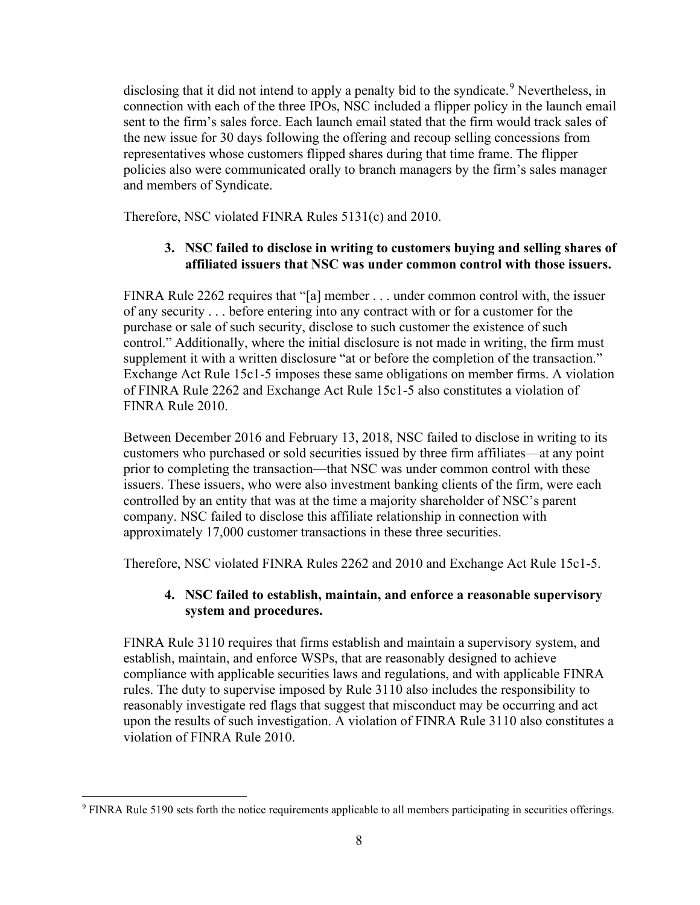disclosing that it did not intend to apply a penalty bid to the syndicate.<sup>[9](#page-7-0)</sup> Nevertheless, in connection with each of the three IPOs, NSC included a flipper policy in the launch email sent to the firm's sales force. Each launch email stated that the firm would track sales of the new issue for 30 days following the offering and recoup selling concessions from representatives whose customers flipped shares during that time frame. The flipper policies also were communicated orally to branch managers by the firm's sales manager and members of Syndicate.

Therefore, NSC violated FINRA Rules 5131(c) and 2010.

# **3. NSC failed to disclose in writing to customers buying and selling shares of affiliated issuers that NSC was under common control with those issuers.**

FINRA Rule 2262 requires that "[a] member . . . under common control with, the issuer of any security . . . before entering into any contract with or for a customer for the purchase or sale of such security, disclose to such customer the existence of such control." Additionally, where the initial disclosure is not made in writing, the firm must supplement it with a written disclosure "at or before the completion of the transaction." Exchange Act Rule 15c1-5 imposes these same obligations on member firms. A violation of FINRA Rule 2262 and Exchange Act Rule 15c1-5 also constitutes a violation of FINRA Rule 2010.

Between December 2016 and February 13, 2018, NSC failed to disclose in writing to its customers who purchased or sold securities issued by three firm affiliates—at any point prior to completing the transaction—that NSC was under common control with these issuers. These issuers, who were also investment banking clients of the firm, were each controlled by an entity that was at the time a majority shareholder of NSC's parent company. NSC failed to disclose this affiliate relationship in connection with approximately 17,000 customer transactions in these three securities.

Therefore, NSC violated FINRA Rules 2262 and 2010 and Exchange Act Rule 15c1-5.

## **4. NSC failed to establish, maintain, and enforce a reasonable supervisory system and procedures.**

FINRA Rule 3110 requires that firms establish and maintain a supervisory system, and establish, maintain, and enforce WSPs, that are reasonably designed to achieve compliance with applicable securities laws and regulations, and with applicable FINRA rules. The duty to supervise imposed by Rule 3110 also includes the responsibility to reasonably investigate red flags that suggest that misconduct may be occurring and act upon the results of such investigation. A violation of FINRA Rule 3110 also constitutes a violation of FINRA Rule 2010.

<span id="page-7-0"></span><sup>9</sup> FINRA Rule 5190 sets forth the notice requirements applicable to all members participating in securities offerings.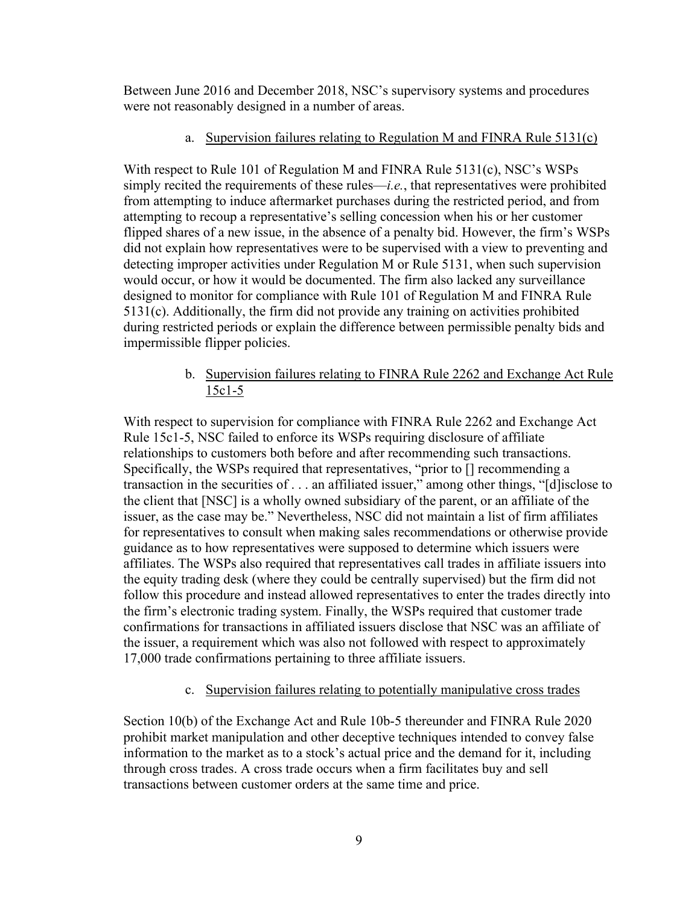Between June 2016 and December 2018, NSC's supervisory systems and procedures were not reasonably designed in a number of areas.

## a. Supervision failures relating to Regulation M and FINRA Rule 5131(c)

With respect to Rule 101 of Regulation M and FINRA Rule 5131(c), NSC's WSPs simply recited the requirements of these rules—*i.e.*, that representatives were prohibited from attempting to induce aftermarket purchases during the restricted period, and from attempting to recoup a representative's selling concession when his or her customer flipped shares of a new issue, in the absence of a penalty bid. However, the firm's WSPs did not explain how representatives were to be supervised with a view to preventing and detecting improper activities under Regulation M or Rule 5131, when such supervision would occur, or how it would be documented. The firm also lacked any surveillance designed to monitor for compliance with Rule 101 of Regulation M and FINRA Rule 5131(c). Additionally, the firm did not provide any training on activities prohibited during restricted periods or explain the difference between permissible penalty bids and impermissible flipper policies.

# b. Supervision failures relating to FINRA Rule 2262 and Exchange Act Rule 15c1-5

With respect to supervision for compliance with FINRA Rule 2262 and Exchange Act Rule 15c1-5, NSC failed to enforce its WSPs requiring disclosure of affiliate relationships to customers both before and after recommending such transactions. Specifically, the WSPs required that representatives, "prior to [] recommending a transaction in the securities of . . . an affiliated issuer," among other things, "[d]isclose to the client that [NSC] is a wholly owned subsidiary of the parent, or an affiliate of the issuer, as the case may be." Nevertheless, NSC did not maintain a list of firm affiliates for representatives to consult when making sales recommendations or otherwise provide guidance as to how representatives were supposed to determine which issuers were affiliates. The WSPs also required that representatives call trades in affiliate issuers into the equity trading desk (where they could be centrally supervised) but the firm did not follow this procedure and instead allowed representatives to enter the trades directly into the firm's electronic trading system. Finally, the WSPs required that customer trade confirmations for transactions in affiliated issuers disclose that NSC was an affiliate of the issuer, a requirement which was also not followed with respect to approximately 17,000 trade confirmations pertaining to three affiliate issuers.

# c. Supervision failures relating to potentially manipulative cross trades

Section 10(b) of the Exchange Act and Rule 10b-5 thereunder and FINRA Rule 2020 prohibit market manipulation and other deceptive techniques intended to convey false information to the market as to a stock's actual price and the demand for it, including through cross trades. A cross trade occurs when a firm facilitates buy and sell transactions between customer orders at the same time and price.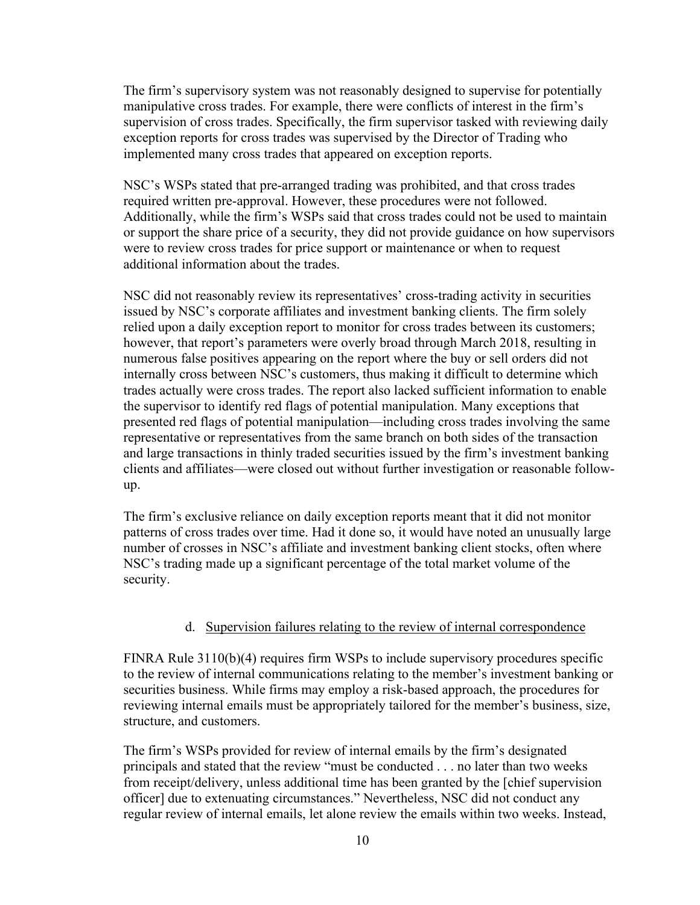The firm's supervisory system was not reasonably designed to supervise for potentially manipulative cross trades. For example, there were conflicts of interest in the firm's supervision of cross trades. Specifically, the firm supervisor tasked with reviewing daily exception reports for cross trades was supervised by the Director of Trading who implemented many cross trades that appeared on exception reports.

NSC's WSPs stated that pre-arranged trading was prohibited, and that cross trades required written pre-approval. However, these procedures were not followed. Additionally, while the firm's WSPs said that cross trades could not be used to maintain or support the share price of a security, they did not provide guidance on how supervisors were to review cross trades for price support or maintenance or when to request additional information about the trades.

NSC did not reasonably review its representatives' cross-trading activity in securities issued by NSC's corporate affiliates and investment banking clients. The firm solely relied upon a daily exception report to monitor for cross trades between its customers; however, that report's parameters were overly broad through March 2018, resulting in numerous false positives appearing on the report where the buy or sell orders did not internally cross between NSC's customers, thus making it difficult to determine which trades actually were cross trades. The report also lacked sufficient information to enable the supervisor to identify red flags of potential manipulation. Many exceptions that presented red flags of potential manipulation—including cross trades involving the same representative or representatives from the same branch on both sides of the transaction and large transactions in thinly traded securities issued by the firm's investment banking clients and affiliates—were closed out without further investigation or reasonable followup.

The firm's exclusive reliance on daily exception reports meant that it did not monitor patterns of cross trades over time. Had it done so, it would have noted an unusually large number of crosses in NSC's affiliate and investment banking client stocks, often where NSC's trading made up a significant percentage of the total market volume of the security.

#### d. Supervision failures relating to the review of internal correspondence

FINRA Rule 3110(b)(4) requires firm WSPs to include supervisory procedures specific to the review of internal communications relating to the member's investment banking or securities business. While firms may employ a risk-based approach, the procedures for reviewing internal emails must be appropriately tailored for the member's business, size, structure, and customers.

The firm's WSPs provided for review of internal emails by the firm's designated principals and stated that the review "must be conducted . . . no later than two weeks from receipt/delivery, unless additional time has been granted by the [chief supervision officer] due to extenuating circumstances." Nevertheless, NSC did not conduct any regular review of internal emails, let alone review the emails within two weeks. Instead,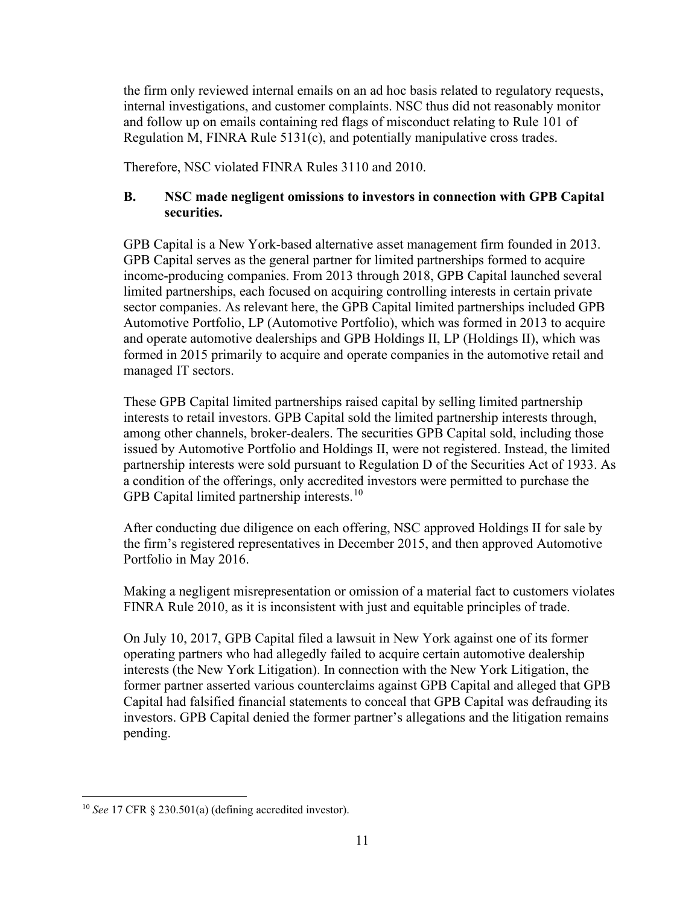the firm only reviewed internal emails on an ad hoc basis related to regulatory requests, internal investigations, and customer complaints. NSC thus did not reasonably monitor and follow up on emails containing red flags of misconduct relating to Rule 101 of Regulation M, FINRA Rule 5131(c), and potentially manipulative cross trades.

Therefore, NSC violated FINRA Rules 3110 and 2010.

## **B. NSC made negligent omissions to investors in connection with GPB Capital securities.**

GPB Capital is a New York-based alternative asset management firm founded in 2013. GPB Capital serves as the general partner for limited partnerships formed to acquire income-producing companies. From 2013 through 2018, GPB Capital launched several limited partnerships, each focused on acquiring controlling interests in certain private sector companies. As relevant here, the GPB Capital limited partnerships included GPB Automotive Portfolio, LP (Automotive Portfolio), which was formed in 2013 to acquire and operate automotive dealerships and GPB Holdings II, LP (Holdings II), which was formed in 2015 primarily to acquire and operate companies in the automotive retail and managed IT sectors.

These GPB Capital limited partnerships raised capital by selling limited partnership interests to retail investors. GPB Capital sold the limited partnership interests through, among other channels, broker-dealers. The securities GPB Capital sold, including those issued by Automotive Portfolio and Holdings II, were not registered. Instead, the limited partnership interests were sold pursuant to Regulation D of the Securities Act of 1933. As a condition of the offerings, only accredited investors were permitted to purchase the GPB Capital limited partnership interests.<sup>[10](#page-10-0)</sup>

After conducting due diligence on each offering, NSC approved Holdings II for sale by the firm's registered representatives in December 2015, and then approved Automotive Portfolio in May 2016.

Making a negligent misrepresentation or omission of a material fact to customers violates FINRA Rule 2010, as it is inconsistent with just and equitable principles of trade.

On July 10, 2017, GPB Capital filed a lawsuit in New York against one of its former operating partners who had allegedly failed to acquire certain automotive dealership interests (the New York Litigation). In connection with the New York Litigation, the former partner asserted various counterclaims against GPB Capital and alleged that GPB Capital had falsified financial statements to conceal that GPB Capital was defrauding its investors. GPB Capital denied the former partner's allegations and the litigation remains pending.

<span id="page-10-0"></span><sup>10</sup> *See* 17 CFR § 230.501(a) (defining accredited investor).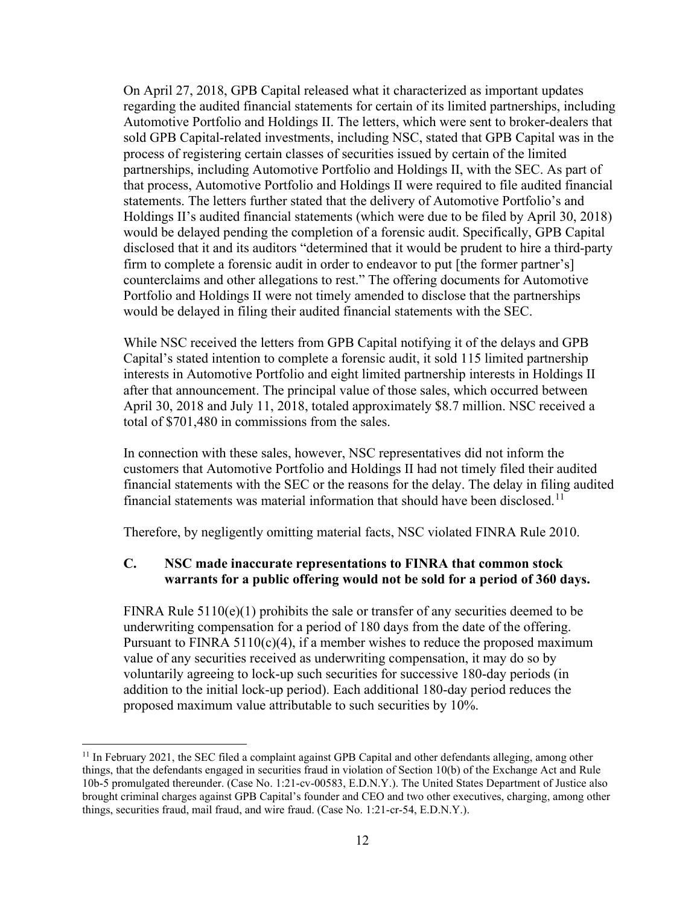On April 27, 2018, GPB Capital released what it characterized as important updates regarding the audited financial statements for certain of its limited partnerships, including Automotive Portfolio and Holdings II. The letters, which were sent to broker-dealers that sold GPB Capital-related investments, including NSC, stated that GPB Capital was in the process of registering certain classes of securities issued by certain of the limited partnerships, including Automotive Portfolio and Holdings II, with the SEC. As part of that process, Automotive Portfolio and Holdings II were required to file audited financial statements. The letters further stated that the delivery of Automotive Portfolio's and Holdings II's audited financial statements (which were due to be filed by April 30, 2018) would be delayed pending the completion of a forensic audit. Specifically, GPB Capital disclosed that it and its auditors "determined that it would be prudent to hire a third-party firm to complete a forensic audit in order to endeavor to put [the former partner's] counterclaims and other allegations to rest." The offering documents for Automotive Portfolio and Holdings II were not timely amended to disclose that the partnerships would be delayed in filing their audited financial statements with the SEC.

While NSC received the letters from GPB Capital notifying it of the delays and GPB Capital's stated intention to complete a forensic audit, it sold 115 limited partnership interests in Automotive Portfolio and eight limited partnership interests in Holdings II after that announcement. The principal value of those sales, which occurred between April 30, 2018 and July 11, 2018, totaled approximately \$8.7 million. NSC received a total of \$701,480 in commissions from the sales.

In connection with these sales, however, NSC representatives did not inform the customers that Automotive Portfolio and Holdings II had not timely filed their audited financial statements with the SEC or the reasons for the delay. The delay in filing audited financial statements was material information that should have been disclosed.<sup>[11](#page-11-0)</sup>

Therefore, by negligently omitting material facts, NSC violated FINRA Rule 2010.

## **C. NSC made inaccurate representations to FINRA that common stock warrants for a public offering would not be sold for a period of 360 days.**

FINRA Rule  $5110(e)(1)$  prohibits the sale or transfer of any securities deemed to be underwriting compensation for a period of 180 days from the date of the offering. Pursuant to  $FINRA 5110(c)(4)$ , if a member wishes to reduce the proposed maximum value of any securities received as underwriting compensation, it may do so by voluntarily agreeing to lock-up such securities for successive 180-day periods (in addition to the initial lock-up period). Each additional 180-day period reduces the proposed maximum value attributable to such securities by 10%.

<span id="page-11-0"></span><sup>&</sup>lt;sup>11</sup> In February 2021, the SEC filed a complaint against GPB Capital and other defendants alleging, among other things, that the defendants engaged in securities fraud in violation of Section 10(b) of the Exchange Act and Rule 10b-5 promulgated thereunder. (Case No. 1:21-cv-00583, E.D.N.Y.). The United States Department of Justice also brought criminal charges against GPB Capital's founder and CEO and two other executives, charging, among other things, securities fraud, mail fraud, and wire fraud. (Case No. 1:21-cr-54, E.D.N.Y.).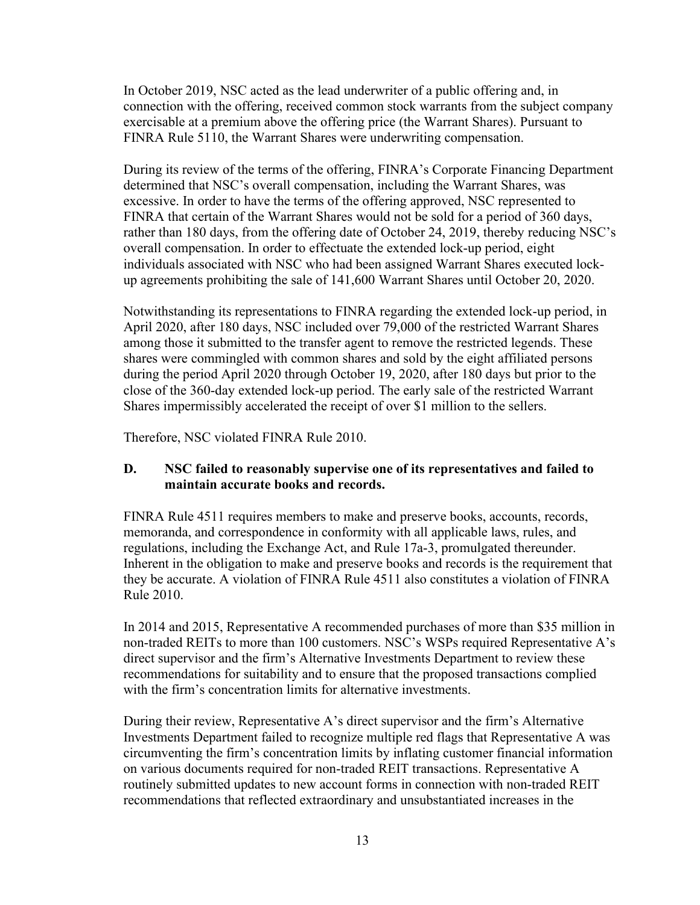In October 2019, NSC acted as the lead underwriter of a public offering and, in connection with the offering, received common stock warrants from the subject company exercisable at a premium above the offering price (the Warrant Shares). Pursuant to FINRA Rule 5110, the Warrant Shares were underwriting compensation.

During its review of the terms of the offering, FINRA's Corporate Financing Department determined that NSC's overall compensation, including the Warrant Shares, was excessive. In order to have the terms of the offering approved, NSC represented to FINRA that certain of the Warrant Shares would not be sold for a period of 360 days, rather than 180 days, from the offering date of October 24, 2019, thereby reducing NSC's overall compensation. In order to effectuate the extended lock-up period, eight individuals associated with NSC who had been assigned Warrant Shares executed lockup agreements prohibiting the sale of 141,600 Warrant Shares until October 20, 2020.

Notwithstanding its representations to FINRA regarding the extended lock-up period, in April 2020, after 180 days, NSC included over 79,000 of the restricted Warrant Shares among those it submitted to the transfer agent to remove the restricted legends. These shares were commingled with common shares and sold by the eight affiliated persons during the period April 2020 through October 19, 2020, after 180 days but prior to the close of the 360-day extended lock-up period. The early sale of the restricted Warrant Shares impermissibly accelerated the receipt of over \$1 million to the sellers.

Therefore, NSC violated FINRA Rule 2010.

## **D. NSC failed to reasonably supervise one of its representatives and failed to maintain accurate books and records.**

FINRA Rule 4511 requires members to make and preserve books, accounts, records, memoranda, and correspondence in conformity with all applicable laws, rules, and regulations, including the Exchange Act, and Rule 17a-3, promulgated thereunder. Inherent in the obligation to make and preserve books and records is the requirement that they be accurate. A violation of FINRA Rule 4511 also constitutes a violation of FINRA Rule 2010.

In 2014 and 2015, Representative A recommended purchases of more than \$35 million in non-traded REITs to more than 100 customers. NSC's WSPs required Representative A's direct supervisor and the firm's Alternative Investments Department to review these recommendations for suitability and to ensure that the proposed transactions complied with the firm's concentration limits for alternative investments.

During their review, Representative A's direct supervisor and the firm's Alternative Investments Department failed to recognize multiple red flags that Representative A was circumventing the firm's concentration limits by inflating customer financial information on various documents required for non-traded REIT transactions. Representative A routinely submitted updates to new account forms in connection with non-traded REIT recommendations that reflected extraordinary and unsubstantiated increases in the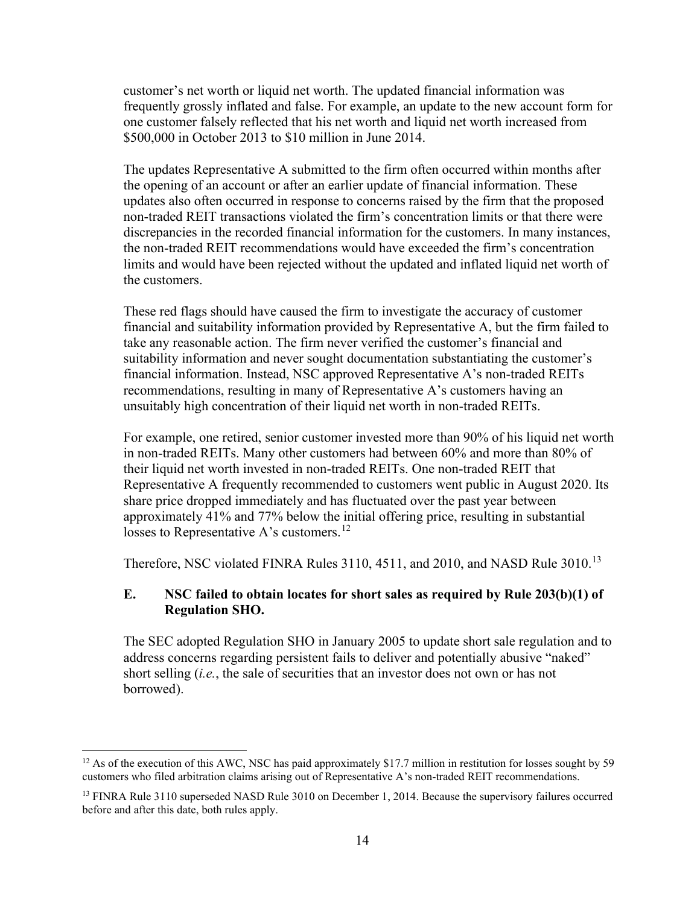customer's net worth or liquid net worth. The updated financial information was frequently grossly inflated and false. For example, an update to the new account form for one customer falsely reflected that his net worth and liquid net worth increased from \$500,000 in October 2013 to \$10 million in June 2014.

The updates Representative A submitted to the firm often occurred within months after the opening of an account or after an earlier update of financial information. These updates also often occurred in response to concerns raised by the firm that the proposed non-traded REIT transactions violated the firm's concentration limits or that there were discrepancies in the recorded financial information for the customers. In many instances, the non-traded REIT recommendations would have exceeded the firm's concentration limits and would have been rejected without the updated and inflated liquid net worth of the customers.

These red flags should have caused the firm to investigate the accuracy of customer financial and suitability information provided by Representative A, but the firm failed to take any reasonable action. The firm never verified the customer's financial and suitability information and never sought documentation substantiating the customer's financial information. Instead, NSC approved Representative A's non-traded REITs recommendations, resulting in many of Representative A's customers having an unsuitably high concentration of their liquid net worth in non-traded REITs.

For example, one retired, senior customer invested more than 90% of his liquid net worth in non-traded REITs. Many other customers had between 60% and more than 80% of their liquid net worth invested in non-traded REITs. One non-traded REIT that Representative A frequently recommended to customers went public in August 2020. Its share price dropped immediately and has fluctuated over the past year between approximately 41% and 77% below the initial offering price, resulting in substantial losses to Representative A's customers.<sup>[12](#page-13-0)</sup>

Therefore, NSC violated FINRA Rules 3110, 4511, and 2010, and NASD Rule 3010.[13](#page-13-1)

### **E. NSC failed to obtain locates for short sales as required by Rule 203(b)(1) of Regulation SHO.**

The SEC adopted Regulation SHO in January 2005 to update short sale regulation and to address concerns regarding persistent fails to deliver and potentially abusive "naked" short selling (*i.e.*, the sale of securities that an investor does not own or has not borrowed).

<span id="page-13-0"></span><sup>&</sup>lt;sup>12</sup> As of the execution of this AWC, NSC has paid approximately \$17.7 million in restitution for losses sought by 59 customers who filed arbitration claims arising out of Representative A's non-traded REIT recommendations.

<span id="page-13-1"></span><sup>&</sup>lt;sup>13</sup> FINRA Rule 3110 superseded NASD Rule 3010 on December 1, 2014. Because the supervisory failures occurred before and after this date, both rules apply.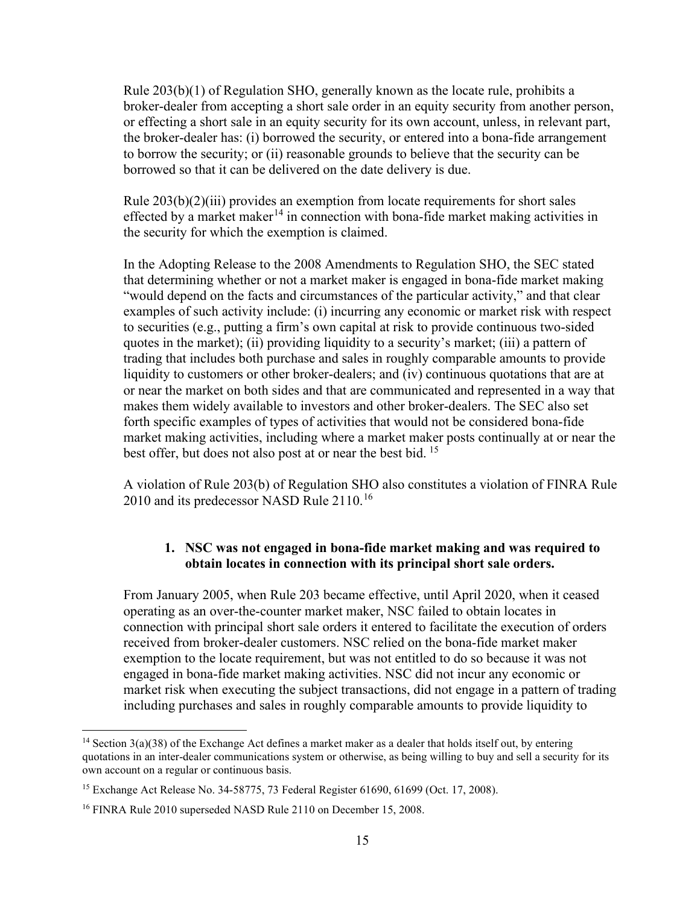Rule 203(b)(1) of Regulation SHO, generally known as the locate rule, prohibits a broker-dealer from accepting a short sale order in an equity security from another person, or effecting a short sale in an equity security for its own account, unless, in relevant part, the broker-dealer has: (i) borrowed the security, or entered into a bona-fide arrangement to borrow the security; or (ii) reasonable grounds to believe that the security can be borrowed so that it can be delivered on the date delivery is due.

Rule 203(b)(2)(iii) provides an exemption from locate requirements for short sales effected by a market maker<sup>[14](#page-14-0)</sup> in connection with bona-fide market making activities in the security for which the exemption is claimed.

In the Adopting Release to the 2008 Amendments to Regulation SHO, the SEC stated that determining whether or not a market maker is engaged in bona-fide market making "would depend on the facts and circumstances of the particular activity," and that clear examples of such activity include: (i) incurring any economic or market risk with respect to securities (e.g., putting a firm's own capital at risk to provide continuous two-sided quotes in the market); (ii) providing liquidity to a security's market; (iii) a pattern of trading that includes both purchase and sales in roughly comparable amounts to provide liquidity to customers or other broker-dealers; and (iv) continuous quotations that are at or near the market on both sides and that are communicated and represented in a way that makes them widely available to investors and other broker-dealers. The SEC also set forth specific examples of types of activities that would not be considered bona-fide market making activities, including where a market maker posts continually at or near the best offer, but does not also post at or near the best bid. <sup>[15](#page-14-1)</sup>

A violation of Rule 203(b) of Regulation SHO also constitutes a violation of FINRA Rule 2010 and its predecessor NASD Rule 2110.<sup>[16](#page-14-2)</sup>

## **1. NSC was not engaged in bona-fide market making and was required to obtain locates in connection with its principal short sale orders.**

From January 2005, when Rule 203 became effective, until April 2020, when it ceased operating as an over-the-counter market maker, NSC failed to obtain locates in connection with principal short sale orders it entered to facilitate the execution of orders received from broker-dealer customers. NSC relied on the bona-fide market maker exemption to the locate requirement, but was not entitled to do so because it was not engaged in bona-fide market making activities. NSC did not incur any economic or market risk when executing the subject transactions, did not engage in a pattern of trading including purchases and sales in roughly comparable amounts to provide liquidity to

<span id="page-14-0"></span><sup>&</sup>lt;sup>14</sup> Section 3(a)(38) of the Exchange Act defines a market maker as a dealer that holds itself out, by entering quotations in an inter-dealer communications system or otherwise, as being willing to buy and sell a security for its own account on a regular or continuous basis.

<span id="page-14-1"></span><sup>&</sup>lt;sup>15</sup> Exchange Act Release No. 34-58775, 73 Federal Register 61690, 61699 (Oct. 17, 2008).

<span id="page-14-2"></span><sup>&</sup>lt;sup>16</sup> FINRA Rule 2010 superseded NASD Rule 2110 on December 15, 2008.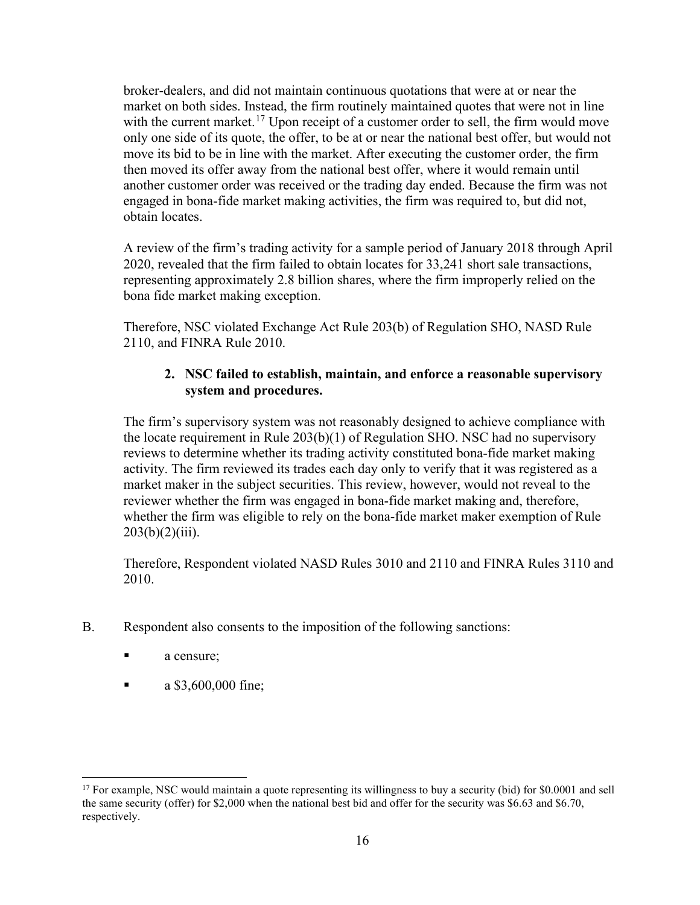broker-dealers, and did not maintain continuous quotations that were at or near the market on both sides. Instead, the firm routinely maintained quotes that were not in line with the current market.<sup>[17](#page-15-0)</sup> Upon receipt of a customer order to sell, the firm would move only one side of its quote, the offer, to be at or near the national best offer, but would not move its bid to be in line with the market. After executing the customer order, the firm then moved its offer away from the national best offer, where it would remain until another customer order was received or the trading day ended. Because the firm was not engaged in bona-fide market making activities, the firm was required to, but did not, obtain locates.

A review of the firm's trading activity for a sample period of January 2018 through April 2020, revealed that the firm failed to obtain locates for 33,241 short sale transactions, representing approximately 2.8 billion shares, where the firm improperly relied on the bona fide market making exception.

Therefore, NSC violated Exchange Act Rule 203(b) of Regulation SHO, NASD Rule 2110, and FINRA Rule 2010.

## **2. NSC failed to establish, maintain, and enforce a reasonable supervisory system and procedures.**

The firm's supervisory system was not reasonably designed to achieve compliance with the locate requirement in Rule 203(b)(1) of Regulation SHO. NSC had no supervisory reviews to determine whether its trading activity constituted bona-fide market making activity. The firm reviewed its trades each day only to verify that it was registered as a market maker in the subject securities. This review, however, would not reveal to the reviewer whether the firm was engaged in bona-fide market making and, therefore, whether the firm was eligible to rely on the bona-fide market maker exemption of Rule  $203(b)(2)(iii)$ .

Therefore, Respondent violated NASD Rules 3010 and 2110 and FINRA Rules 3110 and 2010.

- B. Respondent also consents to the imposition of the following sanctions:
	- a censure;
	- $\blacksquare$  a \$3,600,000 fine;

<span id="page-15-0"></span> $17$  For example, NSC would maintain a quote representing its willingness to buy a security (bid) for \$0.0001 and sell the same security (offer) for \$2,000 when the national best bid and offer for the security was \$6.63 and \$6.70, respectively.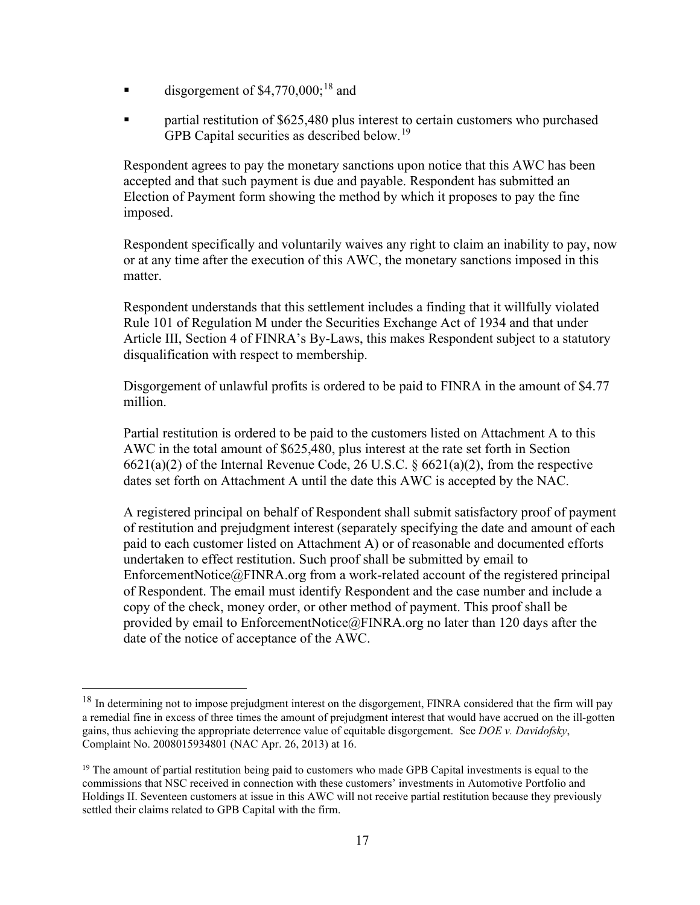- $\blacksquare$  disgorgement of \$4,770,000;<sup>[18](#page-16-0)</sup> and
- partial restitution of \$625,480 plus interest to certain customers who purchased GPB Capital securities as described below.<sup>[19](#page-16-1)</sup>

Respondent agrees to pay the monetary sanctions upon notice that this AWC has been accepted and that such payment is due and payable. Respondent has submitted an Election of Payment form showing the method by which it proposes to pay the fine imposed.

Respondent specifically and voluntarily waives any right to claim an inability to pay, now or at any time after the execution of this AWC, the monetary sanctions imposed in this matter.

Respondent understands that this settlement includes a finding that it willfully violated Rule 101 of Regulation M under the Securities Exchange Act of 1934 and that under Article III, Section 4 of FINRA's By-Laws, this makes Respondent subject to a statutory disqualification with respect to membership.

Disgorgement of unlawful profits is ordered to be paid to FINRA in the amount of \$4.77 million.

Partial restitution is ordered to be paid to the customers listed on Attachment A to this AWC in the total amount of \$625,480, plus interest at the rate set forth in Section 6621(a)(2) of the Internal Revenue Code, 26 U.S.C. § 6621(a)(2), from the respective dates set forth on Attachment A until the date this AWC is accepted by the NAC.

A registered principal on behalf of Respondent shall submit satisfactory proof of payment of restitution and prejudgment interest (separately specifying the date and amount of each paid to each customer listed on Attachment A) or of reasonable and documented efforts undertaken to effect restitution. Such proof shall be submitted by email to [EnforcementNotice@FINRA.org](mailto:EnforcementNotice@FINRA.org) from a work-related account of the registered principal of Respondent. The email must identify Respondent and the case number and include a copy of the check, money order, or other method of payment. This proof shall be provided by email to [EnforcementNotice@FINRA.org](mailto:EnforcementNotice@FINRA.org) no later than 120 days after the date of the notice of acceptance of the AWC.

<span id="page-16-0"></span> $18$  In determining not to impose prejudgment interest on the disgorgement, FINRA considered that the firm will pay a remedial fine in excess of three times the amount of prejudgment interest that would have accrued on the ill-gotten gains, thus achieving the appropriate deterrence value of equitable disgorgement. See *DOE v. Davidofsky*, Complaint No. 2008015934801 (NAC Apr. 26, 2013) at 16.

<span id="page-16-1"></span><sup>&</sup>lt;sup>19</sup> The amount of partial restitution being paid to customers who made GPB Capital investments is equal to the commissions that NSC received in connection with these customers' investments in Automotive Portfolio and Holdings II. Seventeen customers at issue in this AWC will not receive partial restitution because they previously settled their claims related to GPB Capital with the firm.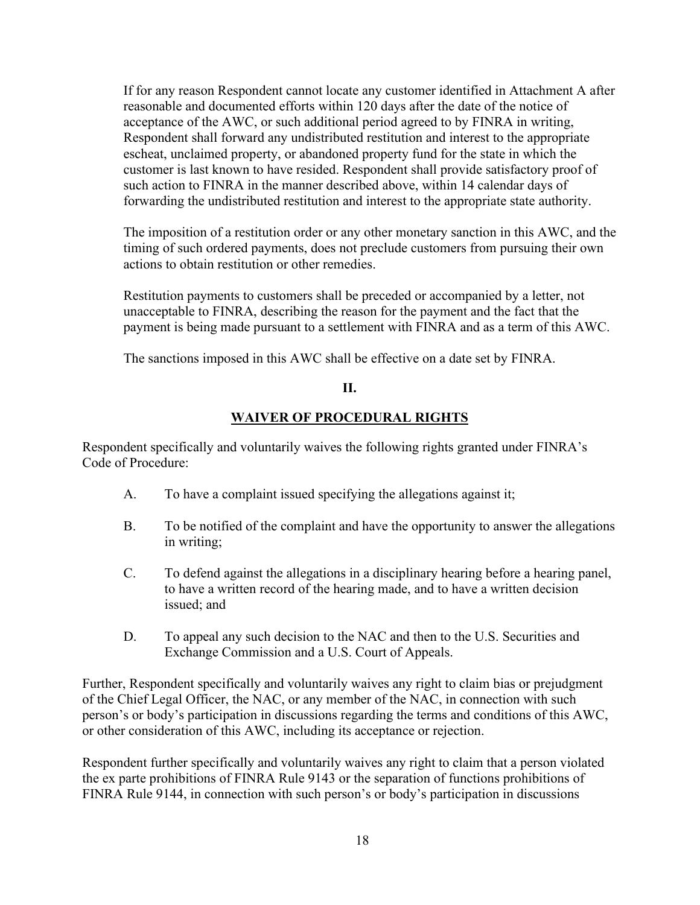If for any reason Respondent cannot locate any customer identified in Attachment A after reasonable and documented efforts within 120 days after the date of the notice of acceptance of the AWC, or such additional period agreed to by FINRA in writing, Respondent shall forward any undistributed restitution and interest to the appropriate escheat, unclaimed property, or abandoned property fund for the state in which the customer is last known to have resided. Respondent shall provide satisfactory proof of such action to FINRA in the manner described above, within 14 calendar days of forwarding the undistributed restitution and interest to the appropriate state authority.

The imposition of a restitution order or any other monetary sanction in this AWC, and the timing of such ordered payments, does not preclude customers from pursuing their own actions to obtain restitution or other remedies.

Restitution payments to customers shall be preceded or accompanied by a letter, not unacceptable to FINRA, describing the reason for the payment and the fact that the payment is being made pursuant to a settlement with FINRA and as a term of this AWC.

The sanctions imposed in this AWC shall be effective on a date set by FINRA.

### **II.**

## **WAIVER OF PROCEDURAL RIGHTS**

Respondent specifically and voluntarily waives the following rights granted under FINRA's Code of Procedure:

- A. To have a complaint issued specifying the allegations against it;
- B. To be notified of the complaint and have the opportunity to answer the allegations in writing;
- C. To defend against the allegations in a disciplinary hearing before a hearing panel, to have a written record of the hearing made, and to have a written decision issued; and
- D. To appeal any such decision to the NAC and then to the U.S. Securities and Exchange Commission and a U.S. Court of Appeals.

Further, Respondent specifically and voluntarily waives any right to claim bias or prejudgment of the Chief Legal Officer, the NAC, or any member of the NAC, in connection with such person's or body's participation in discussions regarding the terms and conditions of this AWC, or other consideration of this AWC, including its acceptance or rejection.

Respondent further specifically and voluntarily waives any right to claim that a person violated the ex parte prohibitions of FINRA Rule 9143 or the separation of functions prohibitions of FINRA Rule 9144, in connection with such person's or body's participation in discussions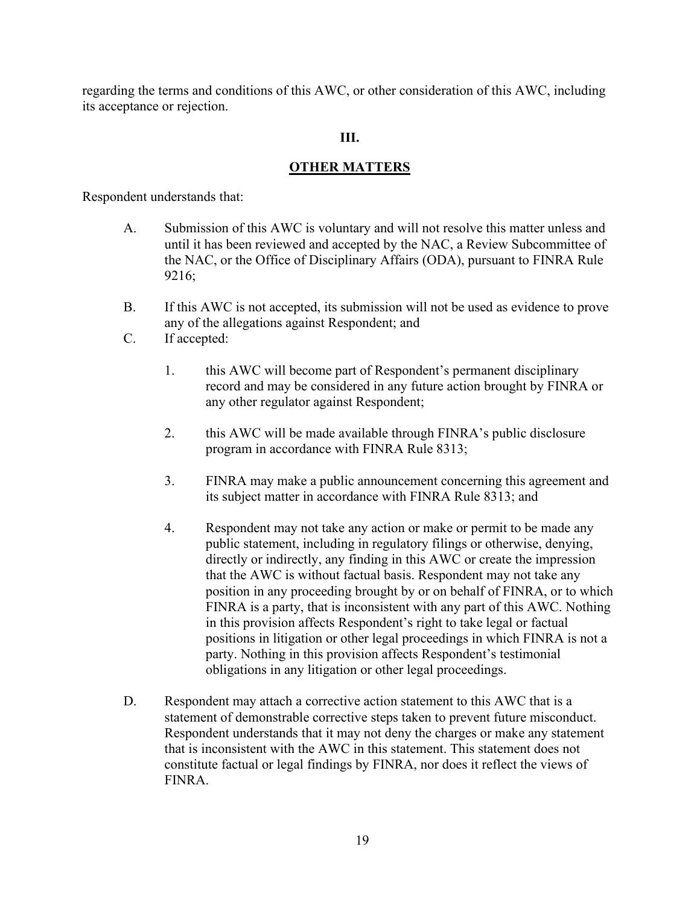regarding the terms and conditions of this AWC, or other consideration of this AWC, including its acceptance or rejection.

#### **III.**

#### **OTHER MATTERS**

Respondent understands that:

- A. Submission of this AWC is voluntary and will not resolve this matter unless and until it has been reviewed and accepted by the NAC, a Review Subcommittee of the NAC, or the Office of Disciplinary Affairs (ODA), pursuant to FINRA Rule 9216;
- B. If this AWC is not accepted, its submission will not be used as evidence to prove any of the allegations against Respondent; and
- C. If accepted:
	- 1. this AWC will become part of Respondent's permanent disciplinary record and may be considered in any future action brought by FINRA or any other regulator against Respondent;
	- 2. this AWC will be made available through FINRA's public disclosure program in accordance with FINRA Rule 8313;
	- 3. FINRA may make a public announcement concerning this agreement and its subject matter in accordance with FINRA Rule 8313; and
	- 4. Respondent may not take any action or make or permit to be made any public statement, including in regulatory filings or otherwise, denying, directly or indirectly, any finding in this AWC or create the impression that the AWC is without factual basis. Respondent may not take any position in any proceeding brought by or on behalf of FINRA, or to which FINRA is a party, that is inconsistent with any part of this AWC. Nothing in this provision affects Respondent's right to take legal or factual positions in litigation or other legal proceedings in which FINRA is not a party. Nothing in this provision affects Respondent's testimonial obligations in any litigation or other legal proceedings.
- D. Respondent may attach a corrective action statement to this AWC that is a statement of demonstrable corrective steps taken to prevent future misconduct. Respondent understands that it may not deny the charges or make any statement that is inconsistent with the AWC in this statement. This statement does not constitute factual or legal findings by FINRA, nor does it reflect the views of FINRA.